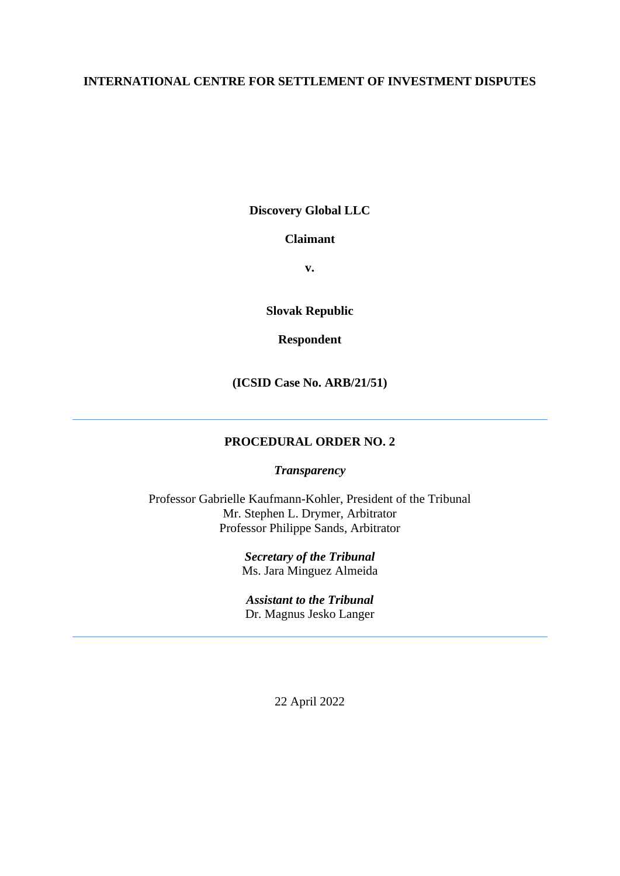# **INTERNATIONAL CENTRE FOR SETTLEMENT OF INVESTMENT DISPUTES**

**Discovery Global LLC**

# **Claimant**

**v.**

**Slovak Republic**

# **Respondent**

**(ICSID Case No. ARB/21/51)**

# **PROCEDURAL ORDER NO. 2**

#### *Transparency*

Professor Gabrielle Kaufmann-Kohler, President of the Tribunal Mr. Stephen L. Drymer, Arbitrator Professor Philippe Sands, Arbitrator

> *Secretary of the Tribunal* Ms. Jara Minguez Almeida

*Assistant to the Tribunal* Dr. Magnus Jesko Langer

22 April 2022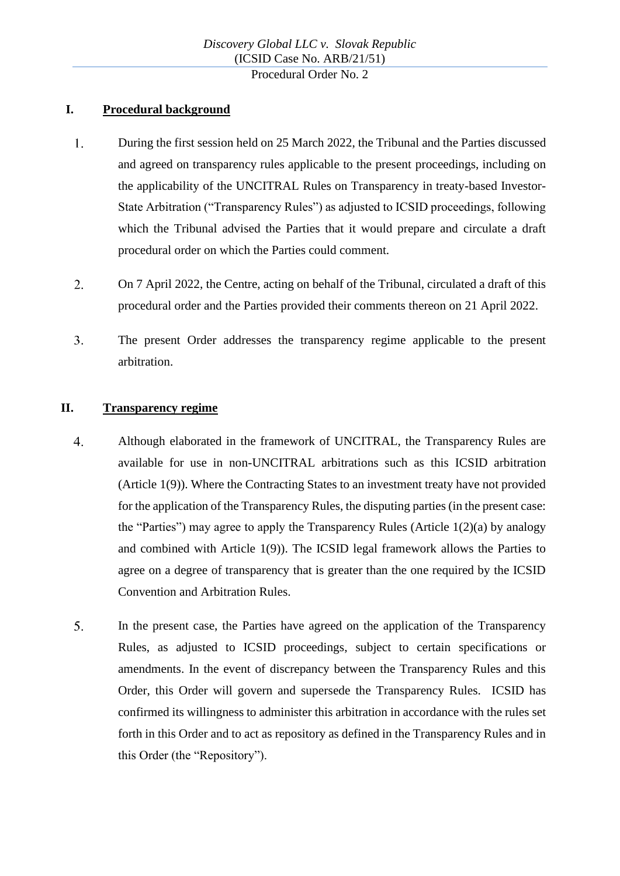# **I. Procedural background**

- $1.$ During the first session held on 25 March 2022, the Tribunal and the Parties discussed and agreed on transparency rules applicable to the present proceedings, including on the applicability of the UNCITRAL Rules on Transparency in treaty-based Investor-State Arbitration ("Transparency Rules") as adjusted to ICSID proceedings, following which the Tribunal advised the Parties that it would prepare and circulate a draft procedural order on which the Parties could comment.
- $2.$ On 7 April 2022, the Centre, acting on behalf of the Tribunal, circulated a draft of this procedural order and the Parties provided their comments thereon on 21 April 2022.
- $3.$ The present Order addresses the transparency regime applicable to the present arbitration.

## **II. Transparency regime**

- $\overline{4}$ . Although elaborated in the framework of UNCITRAL, the Transparency Rules are available for use in non-UNCITRAL arbitrations such as this ICSID arbitration (Article 1(9)). Where the Contracting States to an investment treaty have not provided for the application of the Transparency Rules, the disputing parties (in the present case: the "Parties") may agree to apply the Transparency Rules (Article 1(2)(a) by analogy and combined with Article 1(9)). The ICSID legal framework allows the Parties to agree on a degree of transparency that is greater than the one required by the ICSID Convention and Arbitration Rules.
- <span id="page-1-0"></span>5. In the present case, the Parties have agreed on the application of the Transparency Rules, as adjusted to ICSID proceedings, subject to certain specifications or amendments. In the event of discrepancy between the Transparency Rules and this Order, this Order will govern and supersede the Transparency Rules. ICSID has confirmed its willingness to administer this arbitration in accordance with the rules set forth in this Order and to act as repository as defined in the Transparency Rules and in this Order (the "Repository").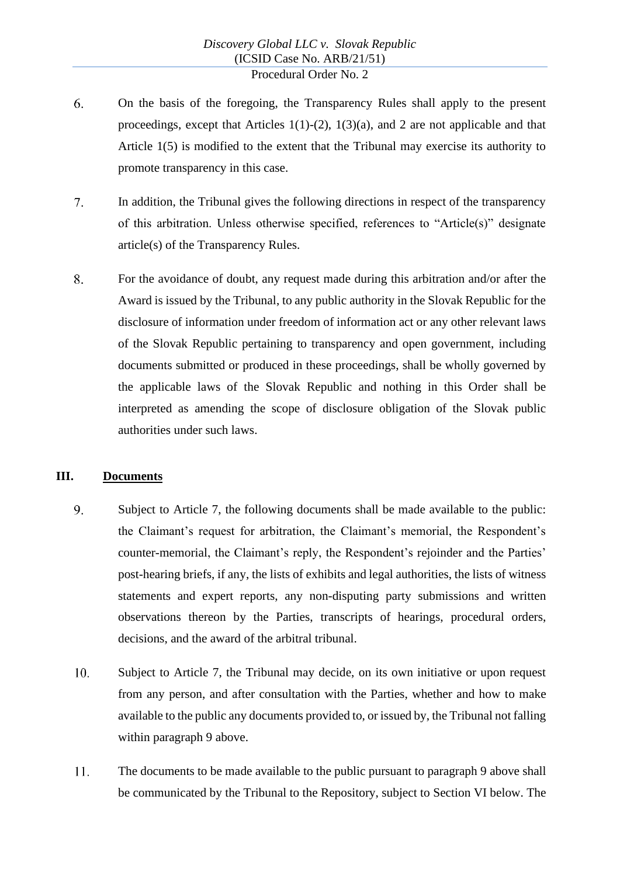- 6. On the basis of the foregoing, the Transparency Rules shall apply to the present proceedings, except that Articles  $1(1)-(2)$ ,  $1(3)(a)$ , and 2 are not applicable and that Article 1(5) is modified to the extent that the Tribunal may exercise its authority to promote transparency in this case.
- $7.$ In addition, the Tribunal gives the following directions in respect of the transparency of this arbitration. Unless otherwise specified, references to "Article(s)" designate article(s) of the Transparency Rules.
- 8. For the avoidance of doubt, any request made during this arbitration and/or after the Award is issued by the Tribunal, to any public authority in the Slovak Republic for the disclosure of information under freedom of information act or any other relevant laws of the Slovak Republic pertaining to transparency and open government, including documents submitted or produced in these proceedings, shall be wholly governed by the applicable laws of the Slovak Republic and nothing in this Order shall be interpreted as amending the scope of disclosure obligation of the Slovak public authorities under such laws.

#### <span id="page-2-2"></span>**III. Documents**

- <span id="page-2-0"></span>9. Subject to Article 7, the following documents shall be made available to the public: the Claimant's request for arbitration, the Claimant's memorial, the Respondent's counter-memorial, the Claimant's reply, the Respondent's rejoinder and the Parties' post-hearing briefs, if any, the lists of exhibits and legal authorities, the lists of witness statements and expert reports, any non-disputing party submissions and written observations thereon by the Parties, transcripts of hearings, procedural orders, decisions, and the award of the arbitral tribunal.
- <span id="page-2-1"></span> $10.$ Subject to Article 7, the Tribunal may decide, on its own initiative or upon request from any person, and after consultation with the Parties, whether and how to make available to the public any documents provided to, or issued by, the Tribunal not falling within paragraph [9](#page-2-0) above.
- $11.$ The documents to be made available to the public pursuant to paragraph [9](#page-2-0) above shall be communicated by the Tribunal to the Repository, subject to Section [VI](#page-6-0) below. The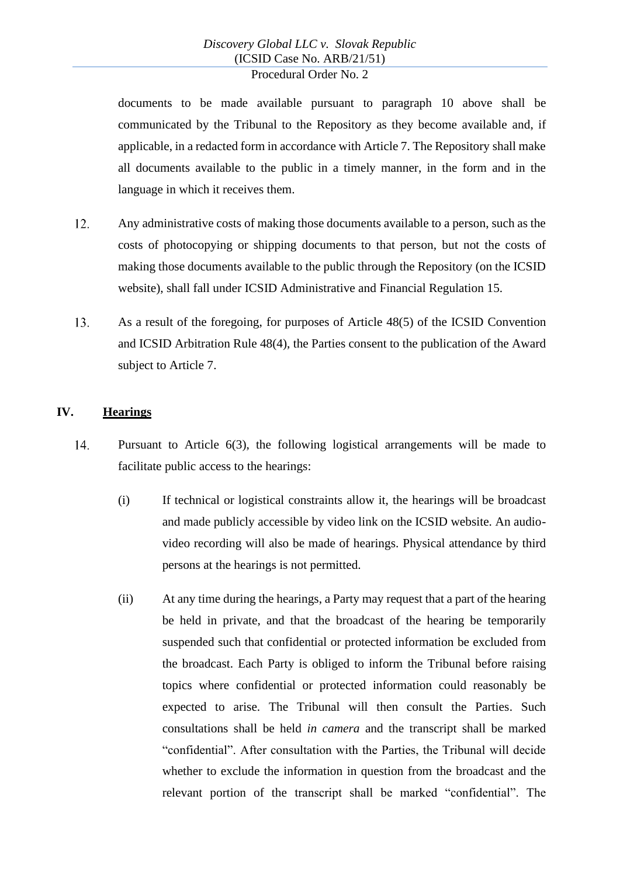documents to be made available pursuant to paragraph [10](#page-2-1) above shall be communicated by the Tribunal to the Repository as they become available and, if applicable, in a redacted form in accordance with Article 7. The Repository shall make all documents available to the public in a timely manner, in the form and in the language in which it receives them.

- $12.$ Any administrative costs of making those documents available to a person, such as the costs of photocopying or shipping documents to that person, but not the costs of making those documents available to the public through the Repository (on the ICSID website), shall fall under ICSID Administrative and Financial Regulation 15.
- 13. As a result of the foregoing, for purposes of Article 48(5) of the ICSID Convention and ICSID Arbitration Rule 48(4), the Parties consent to the publication of the Award subject to Article 7.

# **IV. Hearings**

- 14. Pursuant to Article 6(3), the following logistical arrangements will be made to facilitate public access to the hearings:
	- (i) If technical or logistical constraints allow it, the hearings will be broadcast and made publicly accessible by video link on the ICSID website. An audiovideo recording will also be made of hearings. Physical attendance by third persons at the hearings is not permitted.
	- (ii) At any time during the hearings, a Party may request that a part of the hearing be held in private, and that the broadcast of the hearing be temporarily suspended such that confidential or protected information be excluded from the broadcast. Each Party is obliged to inform the Tribunal before raising topics where confidential or protected information could reasonably be expected to arise. The Tribunal will then consult the Parties. Such consultations shall be held *in camera* and the transcript shall be marked "confidential". After consultation with the Parties, the Tribunal will decide whether to exclude the information in question from the broadcast and the relevant portion of the transcript shall be marked "confidential". The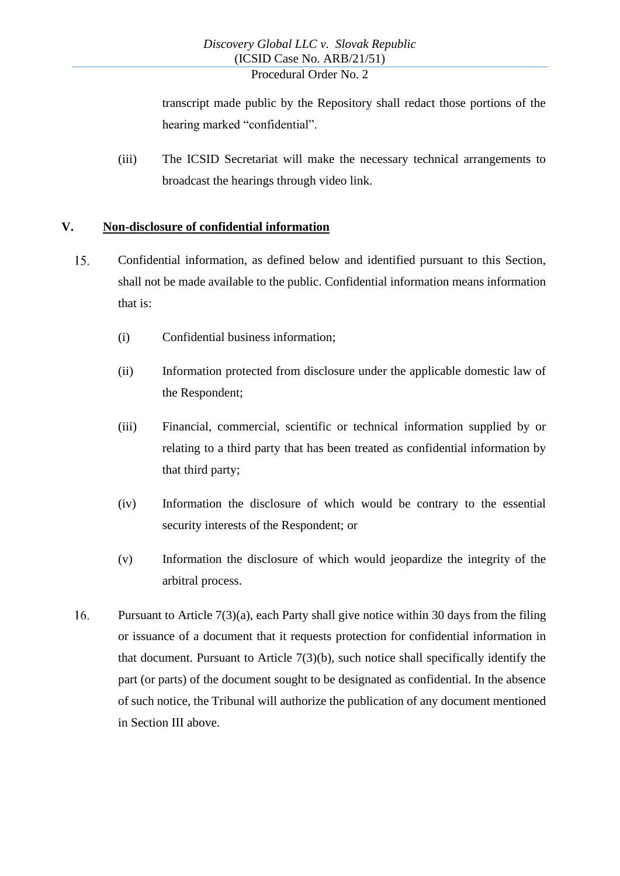transcript made public by the Repository shall redact those portions of the hearing marked "confidential".

(iii) The ICSID Secretariat will make the necessary technical arrangements to broadcast the hearings through video link.

## **V. Non-disclosure of confidential information**

- 15. Confidential information, as defined below and identified pursuant to this Section, shall not be made available to the public. Confidential information means information that is:
	- (i) Confidential business information;
	- (ii) Information protected from disclosure under the applicable domestic law of the Respondent;
	- (iii) Financial, commercial, scientific or technical information supplied by or relating to a third party that has been treated as confidential information by that third party;
	- (iv) Information the disclosure of which would be contrary to the essential security interests of the Respondent; or
	- (v) Information the disclosure of which would jeopardize the integrity of the arbitral process.
- 16. Pursuant to Article 7(3)(a), each Party shall give notice within 30 days from the filing or issuance of a document that it requests protection for confidential information in that document. Pursuant to Article  $7(3)(b)$ , such notice shall specifically identify the part (or parts) of the document sought to be designated as confidential. In the absence of such notice, the Tribunal will authorize the publication of any document mentioned in Section [III](#page-2-2) above.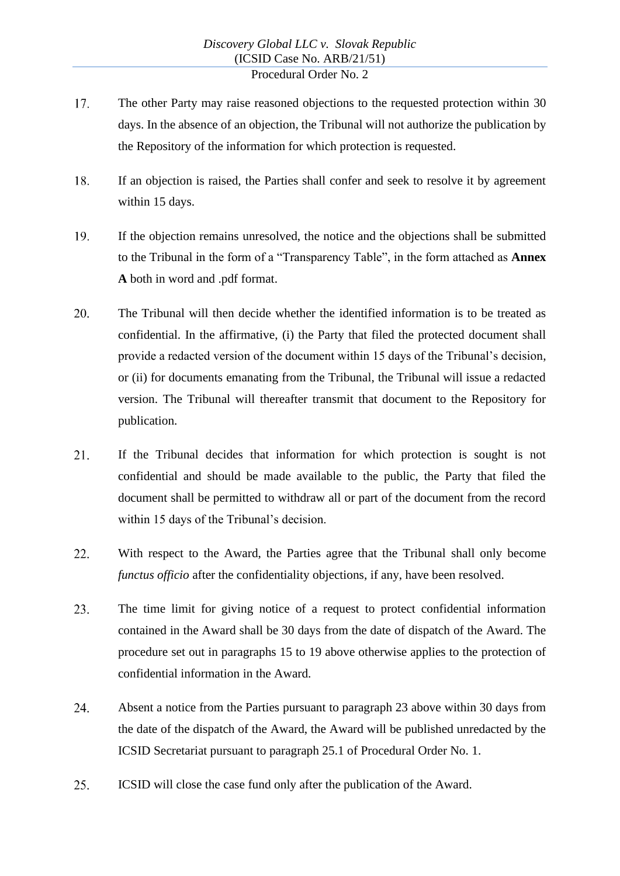- 17. The other Party may raise reasoned objections to the requested protection within 30 days. In the absence of an objection, the Tribunal will not authorize the publication by the Repository of the information for which protection is requested.
- 18. If an objection is raised, the Parties shall confer and seek to resolve it by agreement within 15 days.
- $19<sub>1</sub>$ If the objection remains unresolved, the notice and the objections shall be submitted to the Tribunal in the form of a "Transparency Table", in the form attached as **Annex A** both in word and .pdf format.
- 20. The Tribunal will then decide whether the identified information is to be treated as confidential. In the affirmative, (i) the Party that filed the protected document shall provide a redacted version of the document within 15 days of the Tribunal's decision, or (ii) for documents emanating from the Tribunal, the Tribunal will issue a redacted version. The Tribunal will thereafter transmit that document to the Repository for publication.
- 21. If the Tribunal decides that information for which protection is sought is not confidential and should be made available to the public, the Party that filed the document shall be permitted to withdraw all or part of the document from the record within 15 days of the Tribunal's decision.
- 22. With respect to the Award, the Parties agree that the Tribunal shall only become *functus officio* after the confidentiality objections, if any, have been resolved.
- 23. The time limit for giving notice of a request to protect confidential information contained in the Award shall be 30 days from the date of dispatch of the Award. The procedure set out in paragraphs 15 to 19 above otherwise applies to the protection of confidential information in the Award.
- 24. Absent a notice from the Parties pursuant to paragraph 23 above within 30 days from the date of the dispatch of the Award, the Award will be published unredacted by the ICSID Secretariat pursuant to paragraph 25.1 of Procedural Order No. 1.
- 25. ICSID will close the case fund only after the publication of the Award.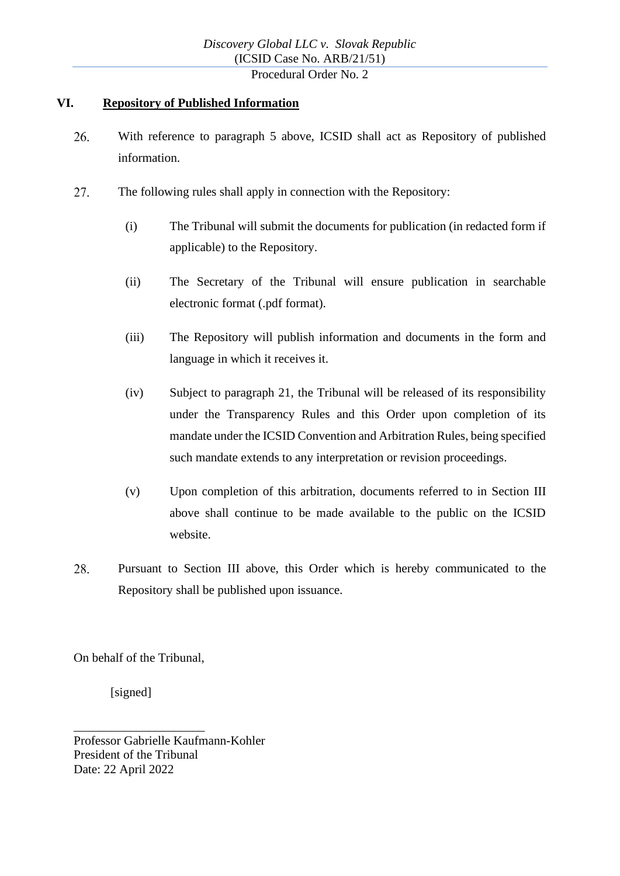## <span id="page-6-0"></span>**VI. Repository of Published Information**

- 26. With reference to paragraph [5](#page-1-0) above, ICSID shall act as Repository of published information.
- 27. The following rules shall apply in connection with the Repository:
	- (i) The Tribunal will submit the documents for publication (in redacted form if applicable) to the Repository.
	- (ii) The Secretary of the Tribunal will ensure publication in searchable electronic format (.pdf format).
	- (iii) The Repository will publish information and documents in the form and language in which it receives it.
	- (iv) Subject to paragraph 21, the Tribunal will be released of its responsibility under the Transparency Rules and this Order upon completion of its mandate under the ICSID Convention and Arbitration Rules, being specified such mandate extends to any interpretation or revision proceedings.
	- (v) Upon completion of this arbitration, documents referred to in Section [III](#page-2-2) above shall continue to be made available to the public on the ICSID website.
- 28. Pursuant to Section [III](#page-2-2) above, this Order which is hereby communicated to the Repository shall be published upon issuance.

On behalf of the Tribunal,

[signed]

\_\_\_\_\_\_\_\_\_\_\_\_\_\_\_\_\_\_\_\_\_

Professor Gabrielle Kaufmann-Kohler President of the Tribunal Date: 22 April 2022